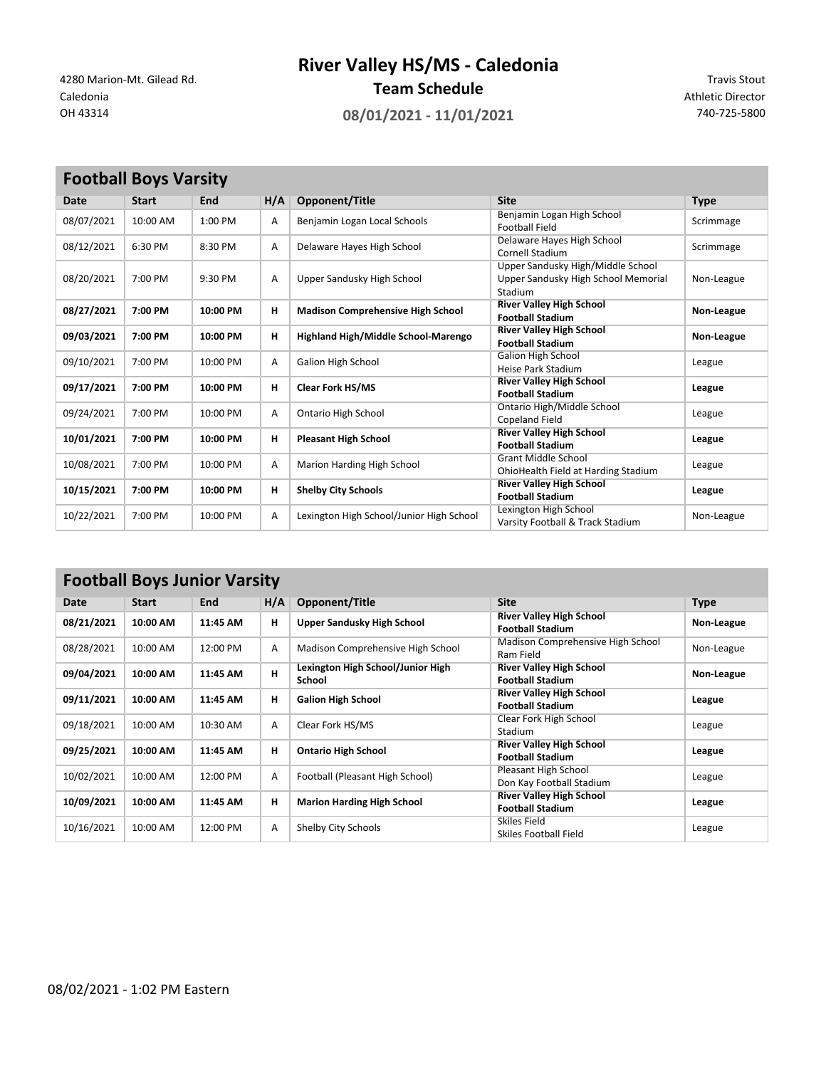**River Valley HS/MS - Caledonia**

**Team Schedule**<br>Caledonia **Team Schedule** Team Schedule and the set of the Schedule Caledonia Athletic Director

Caledonia **Athletic Director** Caledonia **Athletic Director** Caledonia Athletic Director

OH 43314 **08/01/2021 - 11/01/2021** 740-725-5800

| <b>Football Boys Varsity</b> |              |          |     |                                          |                                                                                     |             |  |
|------------------------------|--------------|----------|-----|------------------------------------------|-------------------------------------------------------------------------------------|-------------|--|
| Date                         | <b>Start</b> | End      | H/A | Opponent/Title                           | <b>Site</b>                                                                         | <b>Type</b> |  |
| 08/07/2021                   | 10:00 AM     | 1:00 PM  | Α   | Benjamin Logan Local Schools             | Benjamin Logan High School<br><b>Football Field</b>                                 | Scrimmage   |  |
| 08/12/2021                   | 6:30 PM      | 8:30 PM  | A   | Delaware Hayes High School               | Delaware Hayes High School<br>Cornell Stadium                                       | Scrimmage   |  |
| 08/20/2021                   | 7:00 PM      | 9:30 PM  | A   | Upper Sandusky High School               | Upper Sandusky High/Middle School<br>Upper Sandusky High School Memorial<br>Stadium | Non-League  |  |
| 08/27/2021                   | 7:00 PM      | 10:00 PM | н   | <b>Madison Comprehensive High School</b> | <b>River Valley High School</b><br><b>Football Stadium</b>                          | Non-League  |  |
| 09/03/2021                   | 7:00 PM      | 10:00 PM | н   | Highland High/Middle School-Marengo      | <b>River Valley High School</b><br><b>Football Stadium</b>                          | Non-League  |  |
| 09/10/2021                   | 7:00 PM      | 10:00 PM | A   | <b>Galion High School</b>                | <b>Galion High School</b><br><b>Heise Park Stadium</b>                              | League      |  |
| 09/17/2021                   | 7:00 PM      | 10:00 PM | н   | <b>Clear Fork HS/MS</b>                  | <b>River Valley High School</b><br><b>Football Stadium</b>                          | League      |  |
| 09/24/2021                   | 7:00 PM      | 10:00 PM | A   | Ontario High School                      | Ontario High/Middle School<br><b>Copeland Field</b>                                 | League      |  |
| 10/01/2021                   | 7:00 PM      | 10:00 PM | н   | <b>Pleasant High School</b>              | <b>River Valley High School</b><br><b>Football Stadium</b>                          | League      |  |
| 10/08/2021                   | 7:00 PM      | 10:00 PM | Α   | Marion Harding High School               | <b>Grant Middle School</b><br>OhioHealth Field at Harding Stadium                   | League      |  |
| 10/15/2021                   | 7:00 PM      | 10:00 PM | н   | <b>Shelby City Schools</b>               | <b>River Valley High School</b><br><b>Football Stadium</b>                          | League      |  |
| 10/22/2021                   | 7:00 PM      | 10:00 PM | A   | Lexington High School/Junior High School | Lexington High School<br>Varsity Football & Track Stadium                           | Non-League  |  |

## **Football Boys Junior Varsity**

| ------     |              |            |     |                                             |                                                            |             |  |  |
|------------|--------------|------------|-----|---------------------------------------------|------------------------------------------------------------|-------------|--|--|
| Date       | <b>Start</b> | <b>End</b> | H/A | Opponent/Title                              | <b>Site</b>                                                | <b>Type</b> |  |  |
| 08/21/2021 | 10:00 AM     | 11:45 AM   | н   | Upper Sandusky High School                  | <b>River Valley High School</b><br><b>Football Stadium</b> | Non-League  |  |  |
| 08/28/2021 | 10:00 AM     | 12:00 PM   | A   | Madison Comprehensive High School           | Madison Comprehensive High School<br>Ram Field             | Non-League  |  |  |
| 09/04/2021 | 10:00 AM     | 11:45 AM   | H   | Lexington High School/Junior High<br>School | <b>River Valley High School</b><br><b>Football Stadium</b> | Non-League  |  |  |
| 09/11/2021 | 10:00 AM     | 11:45 AM   | н   | <b>Galion High School</b>                   | <b>River Valley High School</b><br><b>Football Stadium</b> | League      |  |  |
| 09/18/2021 | 10:00 AM     | 10:30 AM   | A   | Clear Fork HS/MS                            | Clear Fork High School<br>Stadium                          | League      |  |  |
| 09/25/2021 | 10:00 AM     | 11:45 AM   | н   | <b>Ontario High School</b>                  | <b>River Valley High School</b><br><b>Football Stadium</b> | League      |  |  |
| 10/02/2021 | 10:00 AM     | 12:00 PM   | A   | Football (Pleasant High School)             | Pleasant High School<br>Don Kay Football Stadium           | League      |  |  |
| 10/09/2021 | 10:00 AM     | 11:45 AM   | н   | <b>Marion Harding High School</b>           | <b>River Valley High School</b><br><b>Football Stadium</b> | League      |  |  |
| 10/16/2021 | 10:00 AM     | 12:00 PM   | A   | Shelby City Schools                         | Skiles Field<br>Skiles Football Field                      | League      |  |  |